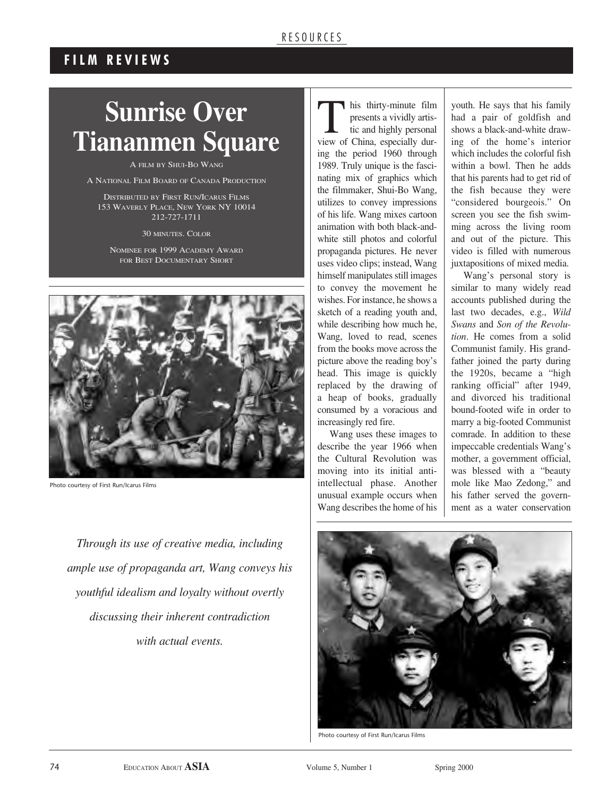#### R E SOURCES

## **F I L M R E V I E W S**

# **Sunrise Over Tiananmen Square**

A FILM BY SHUI-BO WANG

A NATIONAL FILM BOARD OF CANADA PRODUCTION

DISTRIBUTED BY FIRST RUN/ICARUS FILMS 153 WAVERLY PLACE, NEW YORK NY 10014 212-727-1711

30 MINUTES. COLOR

NOMINEE FOR 1999 ACADEMY AWARD FOR BEST DOCUMENTARY SHORT



Photo courtesy of First Run/Icarus Films

*Through its use of creative media, including ample use of propaganda art, Wang conveys his youthful idealism and loyalty without overtly discussing their inherent contradiction with actual events.*

This thirty-minute film<br>presents a vividly artis-<br>tic and highly personal presents a vividly artistic and highly personal view of China, especially during the period 1960 through 1989. Truly unique is the fascinating mix of graphics which the filmmaker, Shui-Bo Wang, utilizes to convey impressions of his life. Wang mixes cartoon animation with both black-andwhite still photos and colorful propaganda pictures. He never uses video clips; instead, Wang himself manipulates still images to convey the movement he wishes. For instance, he shows a sketch of a reading youth and, while describing how much he, Wang, loved to read, scenes from the books move across the picture above the reading boy's head. This image is quickly replaced by the drawing of a heap of books, gradually consumed by a voracious and increasingly red fire.

Wang uses these images to describe the year 1966 when the Cultural Revolution was moving into its initial antiintellectual phase. Another unusual example occurs when Wang describes the home of his

youth. He says that his family had a pair of goldfish and shows a black-and-white drawing of the home's interior which includes the colorful fish within a bowl. Then he adds that his parents had to get rid of the fish because they were "considered bourgeois." On screen you see the fish swimming across the living room and out of the picture. This video is filled with numerous juxtapositions of mixed media.

Wang's personal story is similar to many widely read accounts published during the last two decades, e.g., *Wild Swans* and *Son of the Revolution*. He comes from a solid Communist family. His grandfather joined the party during the 1920s, became a "high ranking official" after 1949, and divorced his traditional bound-footed wife in order to marry a big-footed Communist comrade. In addition to these impeccable credentials Wang's mother, a government official, was blessed with a "beauty mole like Mao Zedong," and his father served the government as a water conservation



Photo courtesy of First Run/Icarus Films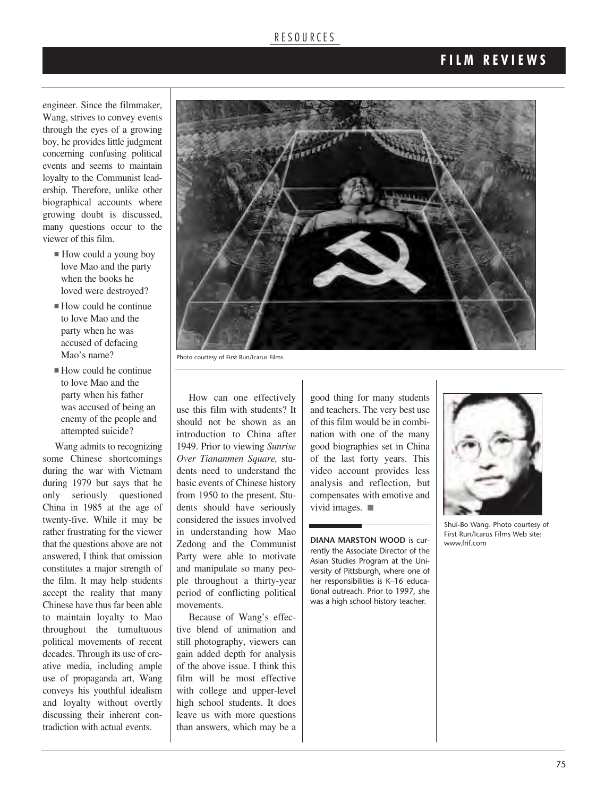#### R E S O U R C E S

### **F I L M R E V I E W S**

engineer. Since the filmmaker, Wang, strives to convey events through the eyes of a growing boy, he provides little judgment concerning confusing political events and seems to maintain loyalty to the Communist leadership. Therefore, unlike other biographical accounts where growing doubt is discussed, many questions occur to the viewer of this film.

- How could a young boy love Mao and the party when the books he loved were destroyed?
- $\blacksquare$  How could he continue to love Mao and the party when he was accused of defacing Mao's name?
- $\blacksquare$  How could he continue to love Mao and the party when his father was accused of being an enemy of the people and attempted suicide?

Wang admits to recognizing some Chinese shortcomings during the war with Vietnam during 1979 but says that he only seriously questioned China in 1985 at the age of twenty-five. While it may be rather frustrating for the viewer that the questions above are not answered, I think that omission constitutes a major strength of the film. It may help students accept the reality that many Chinese have thus far been able to maintain loyalty to Mao throughout the tumultuous political movements of recent decades. Through its use of creative media, including ample use of propaganda art, Wang conveys his youthful idealism and loyalty without overtly discussing their inherent contradiction with actual events.



Photo courtesy of First Run/Icarus Films

How can one effectively use this film with students? It should not be shown as an introduction to China after 1949. Prior to viewing *Sunrise Over Tiananmen Square,* students need to understand the basic events of Chinese history from 1950 to the present. Students should have seriously considered the issues involved in understanding how Mao Zedong and the Communist Party were able to motivate and manipulate so many people throughout a thirty-year period of conflicting political movements.

Because of Wang's effective blend of animation and still photography, viewers can gain added depth for analysis of the above issue. I think this film will be most effective with college and upper-level high school students. It does leave us with more questions than answers, which may be a

good thing for many students and teachers. The very best use of this film would be in combination with one of the many good biographies set in China of the last forty years. This video account provides less analysis and reflection, but compensates with emotive and vivid images.  $\blacksquare$ 

**DIANA MARSTON WOOD** is currently the Associate Director of the Asian Studies Program at the University of Pittsburgh, where one of her responsibilities is K–16 educational outreach. Prior to 1997, she was a high school history teacher.



Shui-Bo Wang. Photo courtesy of First Run/Icarus Films Web site: www.frif.com